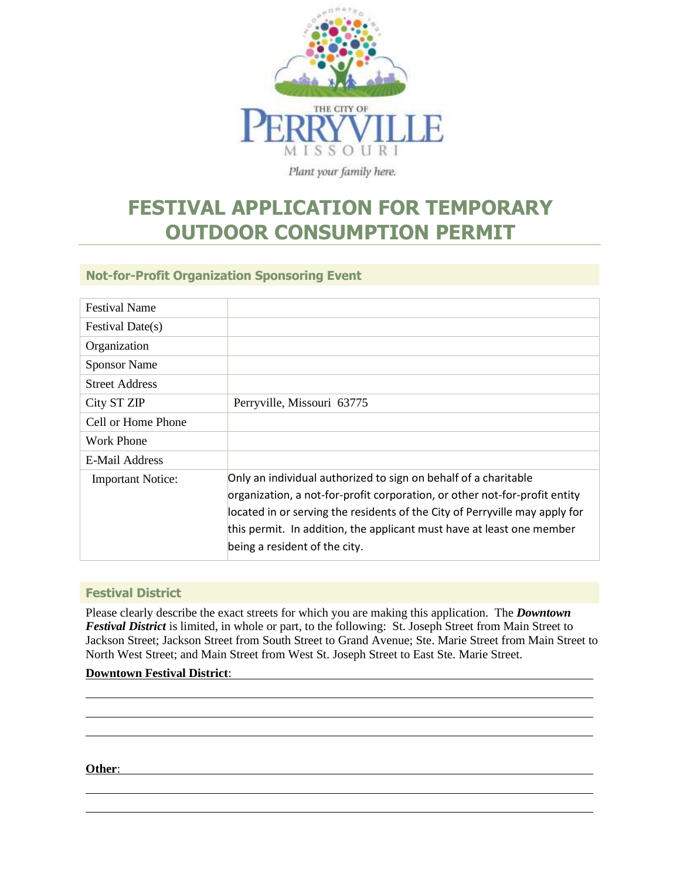

# **FESTIVAL APPLICATION FOR TEMPORARY OUTDOOR CONSUMPTION PERMIT**

**Not-for-Profit Organization Sponsoring Event**

| <b>Festival Name</b>     |                                                                                                                                                                                                                                                                                                                                        |
|--------------------------|----------------------------------------------------------------------------------------------------------------------------------------------------------------------------------------------------------------------------------------------------------------------------------------------------------------------------------------|
| Festival Date(s)         |                                                                                                                                                                                                                                                                                                                                        |
| Organization             |                                                                                                                                                                                                                                                                                                                                        |
| <b>Sponsor Name</b>      |                                                                                                                                                                                                                                                                                                                                        |
| <b>Street Address</b>    |                                                                                                                                                                                                                                                                                                                                        |
| City ST ZIP              | Perryville, Missouri 63775                                                                                                                                                                                                                                                                                                             |
| Cell or Home Phone       |                                                                                                                                                                                                                                                                                                                                        |
| Work Phone               |                                                                                                                                                                                                                                                                                                                                        |
| E-Mail Address           |                                                                                                                                                                                                                                                                                                                                        |
| <b>Important Notice:</b> | Only an individual authorized to sign on behalf of a charitable<br>organization, a not-for-profit corporation, or other not-for-profit entity<br>located in or serving the residents of the City of Perryville may apply for<br>this permit. In addition, the applicant must have at least one member<br>being a resident of the city. |

#### **Festival District**

Please clearly describe the exact streets for which you are making this application. The *Downtown Festival District* is limited, in whole or part, to the following: St. Joseph Street from Main Street to Jackson Street; Jackson Street from South Street to Grand Avenue; Ste. Marie Street from Main Street to North West Street; and Main Street from West St. Joseph Street to East Ste. Marie Street.

#### **Downtown Festival District**:

**Other**: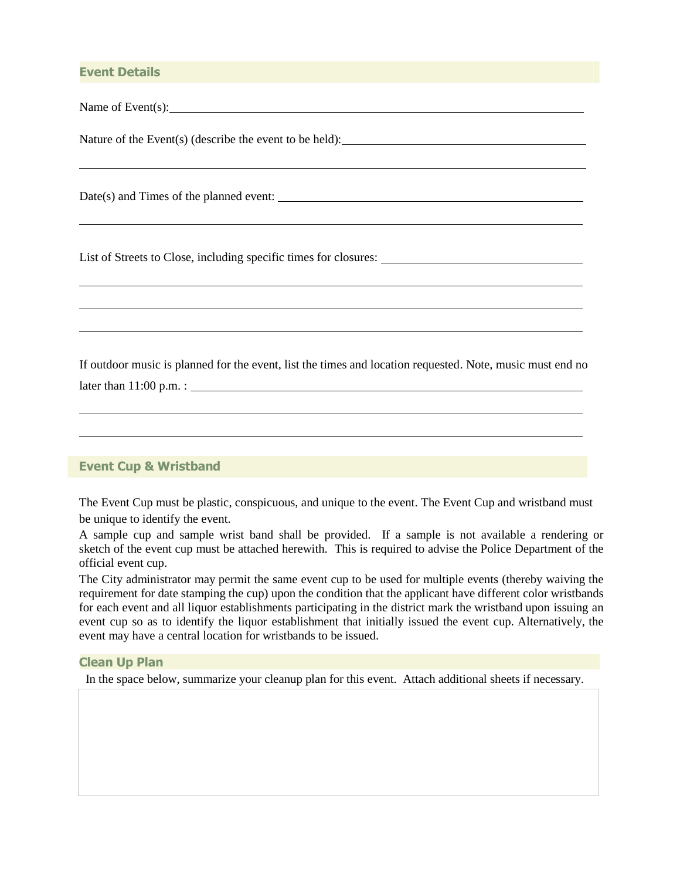#### **Event Details**

Name of Event(s):

Nature of the Event(s) (describe the event to be held):

Date(s) and Times of the planned event:

List of Streets to Close, including specific times for closures:

If outdoor music is planned for the event, list the times and location requested. Note, music must end no later than 11:00 p.m. :

#### **Event Cup & Wristband**

The Event Cup must be plastic, conspicuous, and unique to the event. The Event Cup and wristband must be unique to identify the event.

A sample cup and sample wrist band shall be provided. If a sample is not available a rendering or sketch of the event cup must be attached herewith. This is required to advise the Police Department of the official event cup.

The City administrator may permit the same event cup to be used for multiple events (thereby waiving the requirement for date stamping the cup) upon the condition that the applicant have different color wristbands for each event and all liquor establishments participating in the district mark the wristband upon issuing an event cup so as to identify the liquor establishment that initially issued the event cup. Alternatively, the event may have a central location for wristbands to be issued.

#### **Clean Up Plan**

In the space below, summarize your cleanup plan for this event. Attach additional sheets if necessary.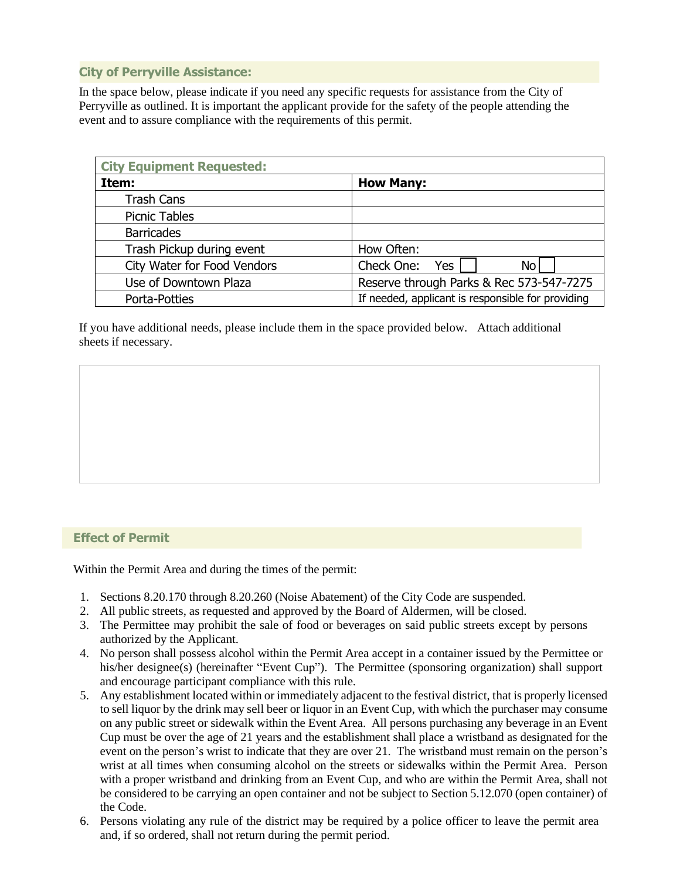#### **City of Perryville Assistance:**

In the space below, please indicate if you need any specific requests for assistance from the City of Perryville as outlined. It is important the applicant provide for the safety of the people attending the event and to assure compliance with the requirements of this permit.

| <b>City Equipment Requested:</b> |                                                   |  |  |  |
|----------------------------------|---------------------------------------------------|--|--|--|
| Item:                            | <b>How Many:</b>                                  |  |  |  |
| <b>Trash Cans</b>                |                                                   |  |  |  |
| <b>Picnic Tables</b>             |                                                   |  |  |  |
| <b>Barricades</b>                |                                                   |  |  |  |
| Trash Pickup during event        | How Often:                                        |  |  |  |
| City Water for Food Vendors      | Check One:<br>Yes<br><b>No</b>                    |  |  |  |
| Use of Downtown Plaza            | Reserve through Parks & Rec 573-547-7275          |  |  |  |
| Porta-Potties                    | If needed, applicant is responsible for providing |  |  |  |

If you have additional needs, please include them in the space provided below. Attach additional sheets if necessary.

#### **Effect of Permit**

Within the Permit Area and during the times of the permit:

- 1. Sections 8.20.170 through 8.20.260 (Noise Abatement) of the City Code are suspended.
- 2. All public streets, as requested and approved by the Board of Aldermen, will be closed.
- 3. The Permittee may prohibit the sale of food or beverages on said public streets except by persons authorized by the Applicant.
- 4. No person shall possess alcohol within the Permit Area accept in a container issued by the Permittee or his/her designee(s) (hereinafter "Event Cup"). The Permittee (sponsoring organization) shall support and encourage participant compliance with this rule.
- 5. Any establishment located within or immediately adjacent to the festival district, that is properly licensed to sell liquor by the drink may sell beer or liquor in an Event Cup, with which the purchaser may consume on any public street or sidewalk within the Event Area. All persons purchasing any beverage in an Event Cup must be over the age of 21 years and the establishment shall place a wristband as designated for the event on the person's wrist to indicate that they are over 21. The wristband must remain on the person's wrist at all times when consuming alcohol on the streets or sidewalks within the Permit Area. Person with a proper wristband and drinking from an Event Cup, and who are within the Permit Area, shall not be considered to be carrying an open container and not be subject to Section 5.12.070 (open container) of the Code.
- 6. Persons violating any rule of the district may be required by a police officer to leave the permit area and, if so ordered, shall not return during the permit period.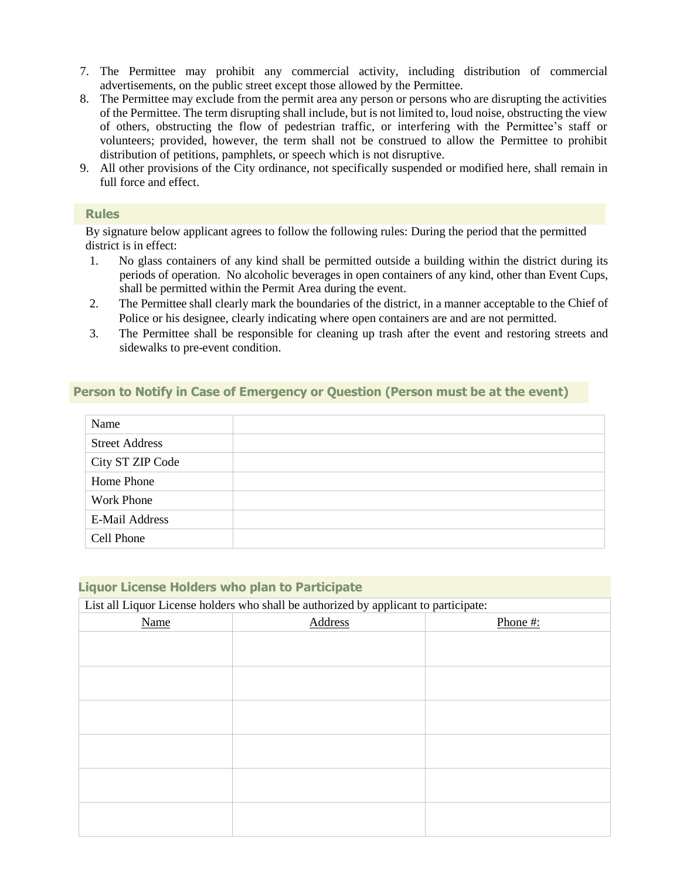- 7. The Permittee may prohibit any commercial activity, including distribution of commercial advertisements, on the public street except those allowed by the Permittee.
- 8. The Permittee may exclude from the permit area any person or persons who are disrupting the activities of the Permittee. The term disrupting shall include, but is not limited to, loud noise, obstructing the view of others, obstructing the flow of pedestrian traffic, or interfering with the Permittee's staff or volunteers; provided, however, the term shall not be construed to allow the Permittee to prohibit distribution of petitions, pamphlets, or speech which is not disruptive.
- 9. All other provisions of the City ordinance, not specifically suspended or modified here, shall remain in full force and effect.

#### **Rules**

By signature below applicant agrees to follow the following rules: During the period that the permitted district is in effect:

- 1. No glass containers of any kind shall be permitted outside a building within the district during its periods of operation. No alcoholic beverages in open containers of any kind, other than Event Cups, shall be permitted within the Permit Area during the event.
- 2. The Permittee shall clearly mark the boundaries of the district, in a manner acceptable to the Chief of Police or his designee, clearly indicating where open containers are and are not permitted.
- 3. The Permittee shall be responsible for cleaning up trash after the event and restoring streets and sidewalks to pre-event condition.

#### **Person to Notify in Case of Emergency or Question (Person must be at the event)**

| Name                  |  |
|-----------------------|--|
| <b>Street Address</b> |  |
| City ST ZIP Code      |  |
| Home Phone            |  |
| <b>Work Phone</b>     |  |
| E-Mail Address        |  |
| Cell Phone            |  |

| <b>Liquor License Holders who plan to Participate</b>                                |         |          |
|--------------------------------------------------------------------------------------|---------|----------|
| List all Liquor License holders who shall be authorized by applicant to participate: |         |          |
| Name                                                                                 | Address | Phone #: |
|                                                                                      |         |          |
|                                                                                      |         |          |
|                                                                                      |         |          |
|                                                                                      |         |          |
|                                                                                      |         |          |
|                                                                                      |         |          |
|                                                                                      |         |          |
|                                                                                      |         |          |
|                                                                                      |         |          |
|                                                                                      |         |          |
|                                                                                      |         |          |
|                                                                                      |         |          |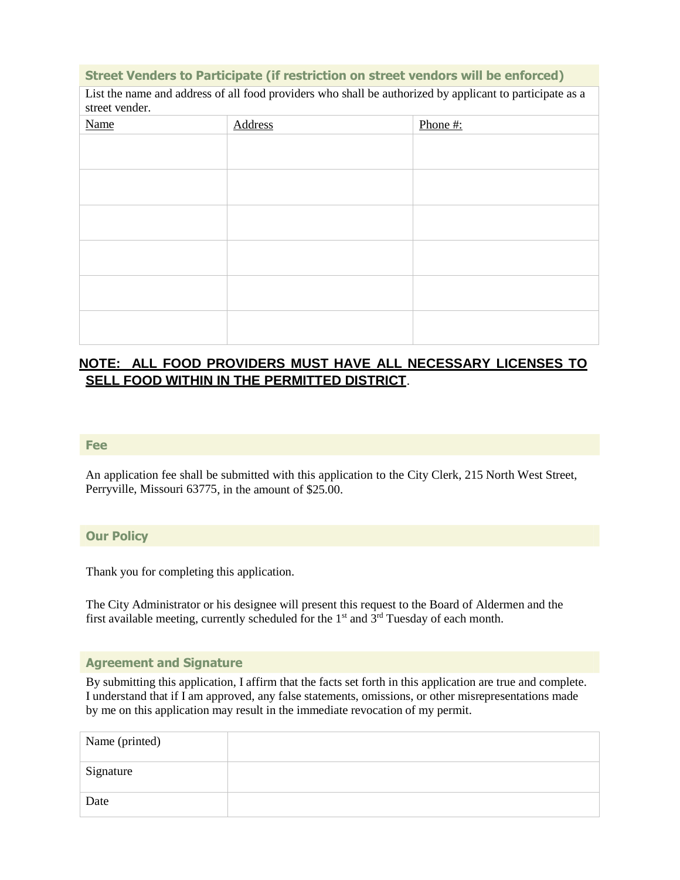#### **Street Venders to Participate (if restriction on street vendors will be enforced)**

List the name and address of all food providers who shall be authorized by applicant to participate as a street vender.

| $0.01$ $0.000$ $0.000$ $0.000$ $0.000$<br>Name | Address | Phone#: |
|------------------------------------------------|---------|---------|
|                                                |         |         |
|                                                |         |         |
|                                                |         |         |
|                                                |         |         |
|                                                |         |         |
|                                                |         |         |
|                                                |         |         |
|                                                |         |         |
|                                                |         |         |
|                                                |         |         |
|                                                |         |         |
|                                                |         |         |

### **NOTE: ALL FOOD PROVIDERS MUST HAVE ALL NECESSARY LICENSES TO SELL FOOD WITHIN IN THE PERMITTED DISTRICT**.

#### **Fee**

An application fee shall be submitted with this application to the City Clerk, 215 North West Street, Perryville, Missouri 63775, in the amount of \$25.00.

#### **Our Policy**

Thank you for completing this application.

The City Administrator or his designee will present this request to the Board of Aldermen and the first available meeting, currently scheduled for the 1<sup>st</sup> and  $3<sup>rd</sup>$  Tuesday of each month.

#### **Agreement and Signature**

By submitting this application, I affirm that the facts set forth in this application are true and complete. I understand that if I am approved, any false statements, omissions, or other misrepresentations made by me on this application may result in the immediate revocation of my permit.

| Name (printed) |  |
|----------------|--|
| Signature      |  |
| Date           |  |